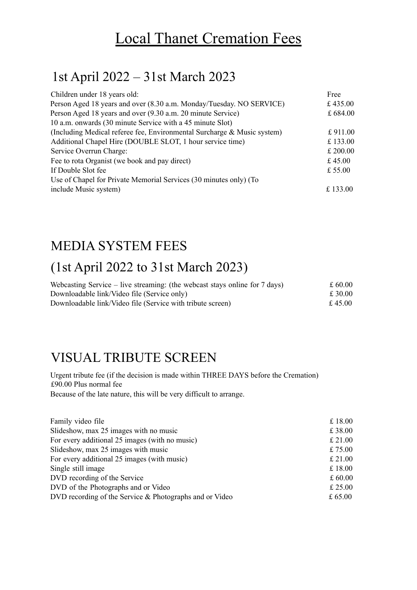# Local Thanet Cremation Fees

### 1st April 2022 – 31st March 2023

| Children under 18 years old:                                            | Free     |
|-------------------------------------------------------------------------|----------|
| Person Aged 18 years and over (8.30 a.m. Monday/Tuesday. NO SERVICE)    | £435.00  |
| Person Aged 18 years and over (9.30 a.m. 20 minute Service)             | £684.00  |
| 10 a.m. onwards (30 minute Service with a 45 minute Slot)               |          |
| (Including Medical referee fee, Environmental Surcharge & Music system) | £911.00  |
| Additional Chapel Hire (DOUBLE SLOT, 1 hour service time)               | £133.00  |
| Service Overrun Charge:                                                 | £ 200.00 |
| Fee to rota Organist (we book and pay direct)                           | £ 45.00  |
| If Double Slot fee                                                      | £ 55.00  |
| Use of Chapel for Private Memorial Services (30 minutes only) (To       |          |
| include Music system)                                                   | £ 133.00 |
|                                                                         |          |

#### MEDIA SYSTEM FEES

### (1st April 2022 to 31st March 2023)

| Webcasting Service – live streaming: (the webcast stays online for $7 \text{ days}$ ) | £ 60.00 |
|---------------------------------------------------------------------------------------|---------|
| Downloadable link/Video file (Service only)                                           | £ 30.00 |
| Downloadable link/Video file (Service with tribute screen)                            | £4500   |

#### VISUAL TRIBUTE SCREEN

Urgent tribute fee (if the decision is made within THREE DAYS before the Cremation) £90.00 Plus normal fee Because of the late nature, this will be very difficult to arrange.

| £18.00    |
|-----------|
| £38.00    |
| £21.00    |
| £ $75.00$ |
| £21.00    |
| £18.00    |
| £60.00    |
| £25.00    |
| £ 65.00   |
|           |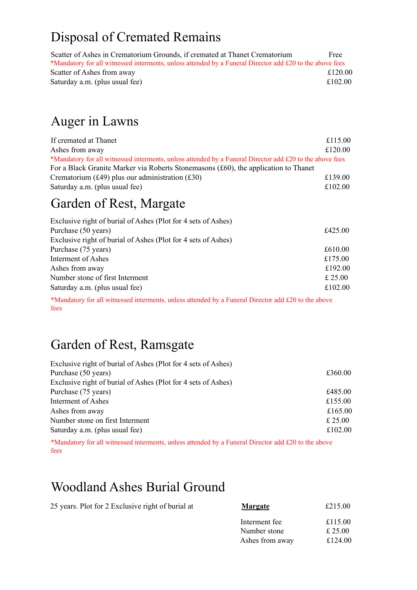# Disposal of Cremated Remains

| Scatter of Ashes in Crematorium Grounds, if cremated at Thanet Crematorium                               | Free    |
|----------------------------------------------------------------------------------------------------------|---------|
| *Mandatory for all witnessed interments, unless attended by a Funeral Director add £20 to the above fees |         |
| Scatter of Ashes from away                                                                               | £120.00 |
| Saturday a.m. (plus usual fee)                                                                           | £102.00 |

## Auger in Lawns

| If cremated at Thanet                                                                                    | £115.00 |
|----------------------------------------------------------------------------------------------------------|---------|
| Ashes from away                                                                                          | £120.00 |
| *Mandatory for all witnessed interments, unless attended by a Funeral Director add £20 to the above fees |         |
| For a Black Granite Marker via Roberts Stonemasons (£60), the application to Thanet                      |         |
| Crematorium (£49) plus our administration (£30)                                                          | £139.00 |
| Saturday a.m. (plus usual fee)                                                                           | £102.00 |

### Garden of Rest, Margate

| Exclusive right of burial of Ashes (Plot for 4 sets of Ashes) |         |
|---------------------------------------------------------------|---------|
| Purchase (50 years)                                           | £425.00 |
| Exclusive right of burial of Ashes (Plot for 4 sets of Ashes) |         |
| Purchase (75 years)                                           | £610.00 |
| Interment of Ashes                                            | £175.00 |
| Ashes from away                                               | £192.00 |
| Number stone of first Interment                               | £ 25.00 |
| Saturday a.m. (plus usual fee)                                | £102.00 |

\*Mandatory for all witnessed interments, unless attended by a Funeral Director add £20 to the above fees

### Garden of Rest, Ramsgate

| £360.00 |
|---------|
|         |
| £485.00 |
| £155.00 |
| £165.00 |
| £ 25.00 |
| £102.00 |
|         |

\*Mandatory for all witnessed interments, unless attended by a Funeral Director add £20 to the above fees

#### Woodland Ashes Burial Ground

| 25 years. Plot for 2 Exclusive right of burial at | <b>Margate</b>  | £215.00 |
|---------------------------------------------------|-----------------|---------|
|                                                   | Interment fee   | £115.00 |
|                                                   | Number stone    | £ 25.00 |
|                                                   | Ashes from away | £124.00 |